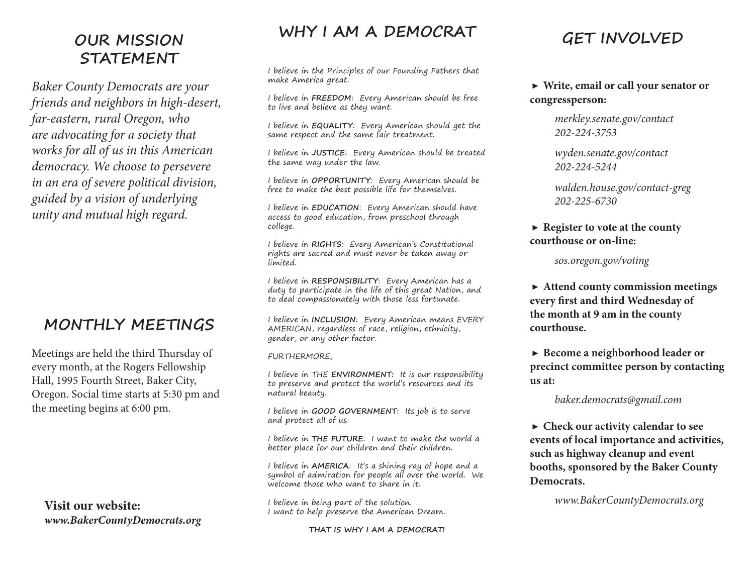## **OUR MISSION STATEMENT**

*Baker County Democrats are your friends and neighbors in high-desert, far-eastern, rural Oregon, who are advocating for a society that works for all of us in this American democracy. We choose to persevere in an era of severe political division, guided by a vision of underlying unity and mutual high regard.*

# **MONTHLY MEETINGS**

Meetings are held the third Thursday of every month, at the Rogers Fellowship Hall, 1995 Fourth Street, Baker City, Oregon. Social time starts at 5:30 pm and the meeting begins at 6:00 pm.

**Visit our website:** *www.BakerCountyDemocrats.org*

### **WHY I AM A DEMOCRAT**

I believe in the Principles of our Founding Fathers that make America great.

I believe in **FREEDOM**: Every American should be free to live and believe as they want.

I believe in **EQUALITY**: Every American should get the same respect and the same fair treatment.

I believe in **JUSTICE**: Every American should be treated the same way under the law.

I believe in **OPPORTUNITY**: Every American should be free to make the best possible life for themselves.

I believe in **EDUCATION**: Every American should have access to good education, from preschool through college.

I believe in **RIGHTS**: Every American's Constitutional rights are sacred and must never be taken away or limited.

I believe in **RESPONSIBILITY**: Every American has a duty to participate in the life of this great Nation, and to deal compassionately with those less fortunate.

I believe in **INCLUSION**: Every American means EVERY AMERICAN, regardless of race, religion, ethnicity, gender, or any other factor.

FURTHERMORE,

I believe in THE **ENVIRONMENT:** It is our responsibility to preserve and protect the world's resources and its natural beauty.

I believe in **GOOD GOVERNMENT**: Its job is to serve and protect all of us.

I believe in **THE FUTURE**: I want to make the world a better place for our children and their children.

I believe in **AMERICA**: It's a shining ray of hope and a symbol of admiration for people all over the world. We welcome those who want to share in it.

I believe in being part of the solution. I want to help preserve the American Dream.

**THAT IS WHY I AM A DEMOCRAT!**

# **GET INVOLVED**

#### ▶ **Write, email or call your senator or congressperson:**

*merkley.senate.gov/contact 202-224-3753*

*wyden.senate.gov/contact 202-224-5244*

*walden.house.gov/contact-greg 202-225-6730*

#### ▶ **Register to vote at the county courthouse or on-line:**

 *sos.oregon.gov/voting*

▶ **Attend county commission meetings every first and third Wednesday of the month at 9 am in the county courthouse.**

▶ **Become a neighborhood leader or precinct committee person by contacting us at:**

#### *baker.democrats@gmail.com*

▶ **Check our activity calendar to see events of local importance and activities, such as highway cleanup and event booths, sponsored by the Baker County Democrats.**

*www.BakerCountyDemocrats.org*